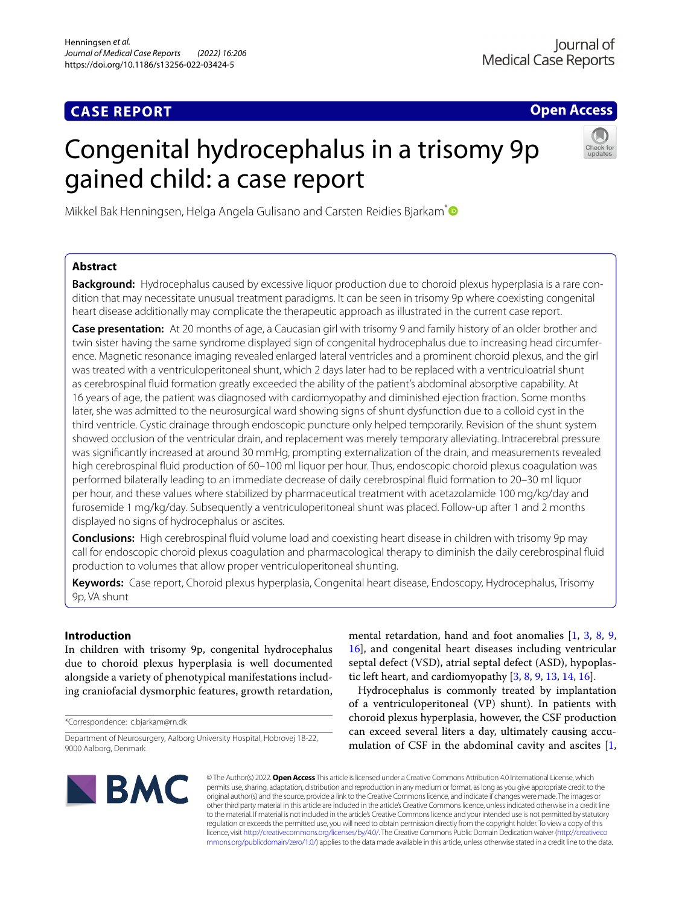## **CASE REPORT**

**Open Access**

# Congenital hydrocephalus in a trisomy 9p gained child: a case report



Mikkel Bak Henningsen, Helga Angela Gulisano and Carsten Reidies Bjarkam<sup>\*</sup>

## **Abstract**

**Background:** Hydrocephalus caused by excessive liquor production due to choroid plexus hyperplasia is a rare condition that may necessitate unusual treatment paradigms. It can be seen in trisomy 9p where coexisting congenital heart disease additionally may complicate the therapeutic approach as illustrated in the current case report.

**Case presentation:** At 20 months of age, a Caucasian girl with trisomy 9 and family history of an older brother and twin sister having the same syndrome displayed sign of congenital hydrocephalus due to increasing head circumference. Magnetic resonance imaging revealed enlarged lateral ventricles and a prominent choroid plexus, and the girl was treated with a ventriculoperitoneal shunt, which 2 days later had to be replaced with a ventriculoatrial shunt as cerebrospinal fuid formation greatly exceeded the ability of the patient's abdominal absorptive capability. At 16 years of age, the patient was diagnosed with cardiomyopathy and diminished ejection fraction. Some months later, she was admitted to the neurosurgical ward showing signs of shunt dysfunction due to a colloid cyst in the third ventricle. Cystic drainage through endoscopic puncture only helped temporarily. Revision of the shunt system showed occlusion of the ventricular drain, and replacement was merely temporary alleviating. Intracerebral pressure was signifcantly increased at around 30 mmHg, prompting externalization of the drain, and measurements revealed high cerebrospinal fuid production of 60–100 ml liquor per hour. Thus, endoscopic choroid plexus coagulation was performed bilaterally leading to an immediate decrease of daily cerebrospinal fuid formation to 20–30 ml liquor per hour, and these values where stabilized by pharmaceutical treatment with acetazolamide 100 mg/kg/day and furosemide 1 mg/kg/day. Subsequently a ventriculoperitoneal shunt was placed. Follow-up after 1 and 2 months displayed no signs of hydrocephalus or ascites.

**Conclusions:** High cerebrospinal fuid volume load and coexisting heart disease in children with trisomy 9p may call for endoscopic choroid plexus coagulation and pharmacological therapy to diminish the daily cerebrospinal fuid production to volumes that allow proper ventriculoperitoneal shunting.

**Keywords:** Case report, Choroid plexus hyperplasia, Congenital heart disease, Endoscopy, Hydrocephalus, Trisomy 9p, VA shunt

## **Introduction**

In children with trisomy 9p, congenital hydrocephalus due to choroid plexus hyperplasia is well documented alongside a variety of phenotypical manifestations including craniofacial dysmorphic features, growth retardation,

\*Correspondence: c.bjarkam@rn.dk

mental retardation, hand and foot anomalies [\[1](#page-3-0), [3,](#page-3-1) [8,](#page-3-2) [9](#page-3-3), [16\]](#page-3-4), and congenital heart diseases including ventricular septal defect (VSD), atrial septal defect (ASD), hypoplastic left heart, and cardiomyopathy [\[3](#page-3-1), [8,](#page-3-2) [9](#page-3-3), [13,](#page-3-5) [14,](#page-3-6) [16](#page-3-4)].

Hydrocephalus is commonly treated by implantation of a ventriculoperitoneal (VP) shunt). In patients with choroid plexus hyperplasia, however, the CSF production can exceed several liters a day, ultimately causing accumulation of CSF in the abdominal cavity and ascites [\[1](#page-3-0),



© The Author(s) 2022. **Open Access** This article is licensed under a Creative Commons Attribution 4.0 International License, which permits use, sharing, adaptation, distribution and reproduction in any medium or format, as long as you give appropriate credit to the original author(s) and the source, provide a link to the Creative Commons licence, and indicate if changes were made. The images or other third party material in this article are included in the article's Creative Commons licence, unless indicated otherwise in a credit line to the material. If material is not included in the article's Creative Commons licence and your intended use is not permitted by statutory regulation or exceeds the permitted use, you will need to obtain permission directly from the copyright holder. To view a copy of this licence, visit [http://creativecommons.org/licenses/by/4.0/.](http://creativecommons.org/licenses/by/4.0/) The Creative Commons Public Domain Dedication waiver ([http://creativeco](http://creativecommons.org/publicdomain/zero/1.0/) [mmons.org/publicdomain/zero/1.0/](http://creativecommons.org/publicdomain/zero/1.0/)) applies to the data made available in this article, unless otherwise stated in a credit line to the data.

Department of Neurosurgery, Aalborg University Hospital, Hobrovej 18-22, 9000 Aalborg, Denmark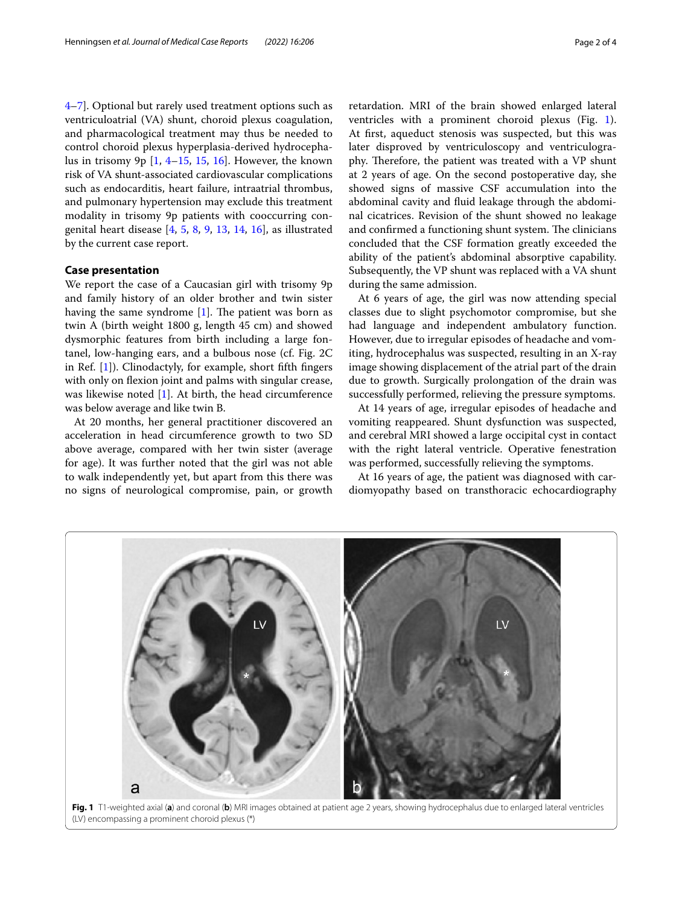[4–](#page-3-7)[7](#page-3-8)]. Optional but rarely used treatment options such as ventriculoatrial (VA) shunt, choroid plexus coagulation, and pharmacological treatment may thus be needed to control choroid plexus hyperplasia-derived hydrocephalus in trisomy 9p [\[1](#page-3-0), [4](#page-3-7)[–15](#page-3-9), [15,](#page-3-9) [16\]](#page-3-4). However, the known risk of VA shunt-associated cardiovascular complications such as endocarditis, heart failure, intraatrial thrombus, and pulmonary hypertension may exclude this treatment modality in trisomy 9p patients with cooccurring congenital heart disease [[4,](#page-3-7) [5,](#page-3-10) [8](#page-3-2), [9](#page-3-3), [13,](#page-3-5) [14,](#page-3-6) [16](#page-3-4)], as illustrated by the current case report.

### **Case presentation**

We report the case of a Caucasian girl with trisomy 9p and family history of an older brother and twin sister having the same syndrome  $[1]$  $[1]$ . The patient was born as twin A (birth weight 1800 g, length 45 cm) and showed dysmorphic features from birth including a large fontanel, low-hanging ears, and a bulbous nose (cf. Fig. 2C in Ref. [\[1](#page-3-0)]). Clinodactyly, for example, short ffth fngers with only on flexion joint and palms with singular crease, was likewise noted [[1\]](#page-3-0). At birth, the head circumference was below average and like twin B.

At 20 months, her general practitioner discovered an acceleration in head circumference growth to two SD above average, compared with her twin sister (average for age). It was further noted that the girl was not able to walk independently yet, but apart from this there was no signs of neurological compromise, pain, or growth retardation. MRI of the brain showed enlarged lateral ventricles with a prominent choroid plexus (Fig. [1](#page-1-0)). At frst, aqueduct stenosis was suspected, but this was later disproved by ventriculoscopy and ventriculography. Therefore, the patient was treated with a VP shunt at 2 years of age. On the second postoperative day, she showed signs of massive CSF accumulation into the abdominal cavity and fuid leakage through the abdominal cicatrices. Revision of the shunt showed no leakage and confirmed a functioning shunt system. The clinicians concluded that the CSF formation greatly exceeded the ability of the patient's abdominal absorptive capability. Subsequently, the VP shunt was replaced with a VA shunt during the same admission.

At 6 years of age, the girl was now attending special classes due to slight psychomotor compromise, but she had language and independent ambulatory function. However, due to irregular episodes of headache and vomiting, hydrocephalus was suspected, resulting in an X-ray image showing displacement of the atrial part of the drain due to growth. Surgically prolongation of the drain was successfully performed, relieving the pressure symptoms.

At 14 years of age, irregular episodes of headache and vomiting reappeared. Shunt dysfunction was suspected, and cerebral MRI showed a large occipital cyst in contact with the right lateral ventricle. Operative fenestration was performed, successfully relieving the symptoms.

At 16 years of age, the patient was diagnosed with cardiomyopathy based on transthoracic echocardiography



<span id="page-1-0"></span>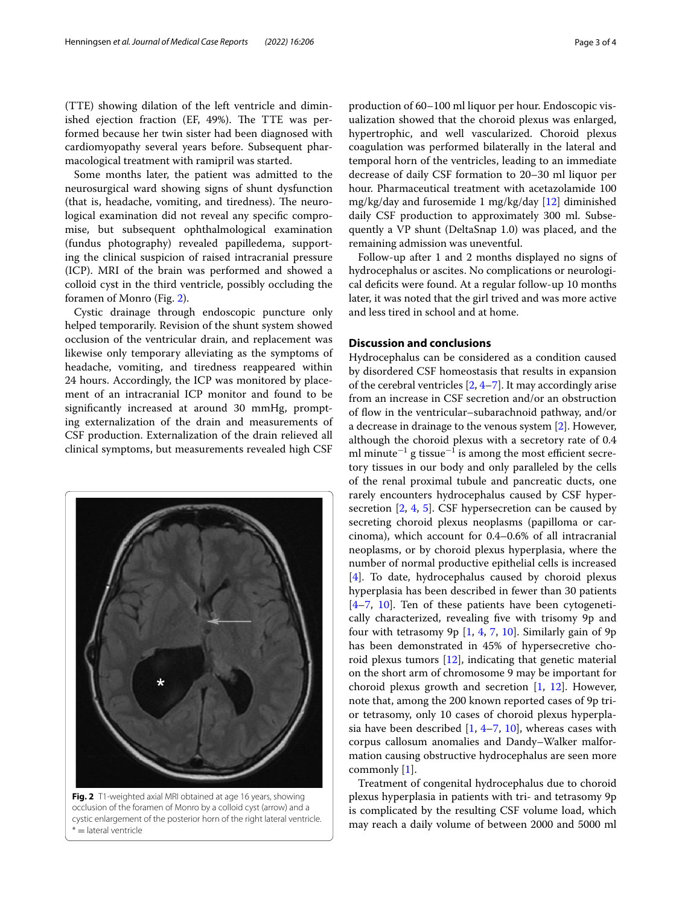(TTE) showing dilation of the left ventricle and diminished ejection fraction  $(EF, 49%)$ . The TTE was performed because her twin sister had been diagnosed with cardiomyopathy several years before. Subsequent pharmacological treatment with ramipril was started.

Some months later, the patient was admitted to the neurosurgical ward showing signs of shunt dysfunction (that is, headache, vomiting, and tiredness). The neurological examination did not reveal any specifc compromise, but subsequent ophthalmological examination (fundus photography) revealed papilledema, supporting the clinical suspicion of raised intracranial pressure (ICP). MRI of the brain was performed and showed a colloid cyst in the third ventricle, possibly occluding the foramen of Monro (Fig. [2\)](#page-2-0).

Cystic drainage through endoscopic puncture only helped temporarily. Revision of the shunt system showed occlusion of the ventricular drain, and replacement was likewise only temporary alleviating as the symptoms of headache, vomiting, and tiredness reappeared within 24 hours. Accordingly, the ICP was monitored by placement of an intracranial ICP monitor and found to be signifcantly increased at around 30 mmHg, prompting externalization of the drain and measurements of CSF production. Externalization of the drain relieved all clinical symptoms, but measurements revealed high CSF



**Fig. 2** T1-weighted axial MRI obtained at age 16 years, showing occlusion of the foramen of Monro by a colloid cyst (arrow) and a cystic enlargement of the posterior horn of the right lateral ventricle.  $=$  lateral ventricle

production of 60–100 ml liquor per hour. Endoscopic visualization showed that the choroid plexus was enlarged, hypertrophic, and well vascularized. Choroid plexus coagulation was performed bilaterally in the lateral and temporal horn of the ventricles, leading to an immediate decrease of daily CSF formation to 20–30 ml liquor per hour. Pharmaceutical treatment with acetazolamide 100 mg/kg/day and furosemide 1 mg/kg/day [[12\]](#page-3-11) diminished daily CSF production to approximately 300 ml. Subsequently a VP shunt (DeltaSnap 1.0) was placed, and the

Follow-up after 1 and 2 months displayed no signs of hydrocephalus or ascites. No complications or neurological deficits were found. At a regular follow-up 10 months later, it was noted that the girl trived and was more active and less tired in school and at home.

## **Discussion and conclusions**

remaining admission was uneventful.

Hydrocephalus can be considered as a condition caused by disordered CSF homeostasis that results in expansion of the cerebral ventricles  $[2, 4-7]$  $[2, 4-7]$  $[2, 4-7]$  $[2, 4-7]$ . It may accordingly arise from an increase in CSF secretion and/or an obstruction of flow in the ventricular–subarachnoid pathway, and/or a decrease in drainage to the venous system [\[2](#page-3-12)]. However, although the choroid plexus with a secretory rate of 0.4 ml minute<sup>-1</sup> g tissue<sup>-1</sup> is among the most efficient secretory tissues in our body and only paralleled by the cells of the renal proximal tubule and pancreatic ducts, one rarely encounters hydrocephalus caused by CSF hypersecretion  $[2, 4, 5]$  $[2, 4, 5]$  $[2, 4, 5]$  $[2, 4, 5]$  $[2, 4, 5]$  $[2, 4, 5]$  $[2, 4, 5]$ . CSF hypersecretion can be caused by secreting choroid plexus neoplasms (papilloma or carcinoma), which account for 0.4–0.6% of all intracranial neoplasms, or by choroid plexus hyperplasia, where the number of normal productive epithelial cells is increased [[4\]](#page-3-7). To date, hydrocephalus caused by choroid plexus hyperplasia has been described in fewer than 30 patients [[4–](#page-3-7)[7,](#page-3-8) [10](#page-3-13)]. Ten of these patients have been cytogenetically characterized, revealing fve with trisomy 9p and four with tetrasomy 9p  $[1, 4, 7, 10]$  $[1, 4, 7, 10]$  $[1, 4, 7, 10]$  $[1, 4, 7, 10]$  $[1, 4, 7, 10]$  $[1, 4, 7, 10]$  $[1, 4, 7, 10]$  $[1, 4, 7, 10]$ . Similarly gain of 9p has been demonstrated in 45% of hypersecretive choroid plexus tumors  $[12]$  $[12]$ , indicating that genetic material on the short arm of chromosome 9 may be important for choroid plexus growth and secretion  $[1, 12]$  $[1, 12]$  $[1, 12]$  $[1, 12]$ . However, note that, among the 200 known reported cases of 9p trior tetrasomy, only 10 cases of choroid plexus hyperplasia have been described  $[1, 4-7, 10]$  $[1, 4-7, 10]$  $[1, 4-7, 10]$  $[1, 4-7, 10]$  $[1, 4-7, 10]$  $[1, 4-7, 10]$ , whereas cases with corpus callosum anomalies and Dandy–Walker malformation causing obstructive hydrocephalus are seen more commonly [[1\]](#page-3-0).

<span id="page-2-0"></span>Treatment of congenital hydrocephalus due to choroid plexus hyperplasia in patients with tri- and tetrasomy 9p is complicated by the resulting CSF volume load, which may reach a daily volume of between 2000 and 5000 ml